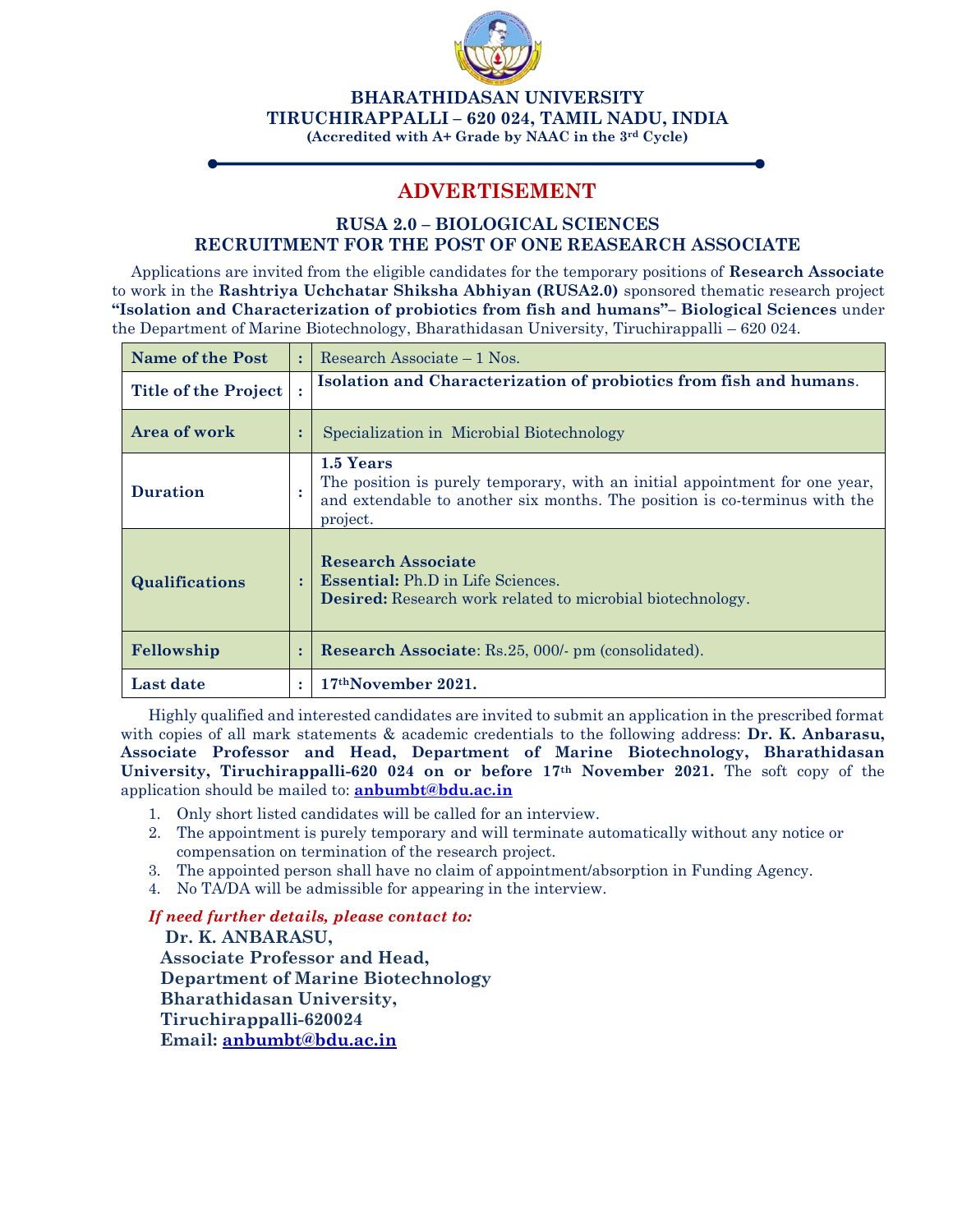

**BHARATHIDASAN UNIVERSITY TIRUCHIRAPPALLI – 620 024, TAMIL NADU, INDIA (Accredited with A+ Grade by NAAC in the 3rd Cycle)**

# **ADVERTISEMENT**

### **RUSA 2.0 – BIOLOGICAL SCIENCES RECRUITMENT FOR THE POST OF ONE REASEARCH ASSOCIATE**

Applications are invited from the eligible candidates for the temporary positions of **Research Associate** to work in the **Rashtriya Uchchatar Shiksha Abhiyan (RUSA2.0)** sponsored thematic research project **"Isolation and Characterization of probiotics from fish and humans"– Biological Sciences** under the Department of Marine Biotechnology, Bharathidasan University, Tiruchirappalli – 620 024.

| <b>Name of the Post</b>     |   | Research Associate $-1$ Nos.                                                                                                                                                       |  |  |
|-----------------------------|---|------------------------------------------------------------------------------------------------------------------------------------------------------------------------------------|--|--|
| <b>Title of the Project</b> |   | Isolation and Characterization of probiotics from fish and humans.                                                                                                                 |  |  |
| <b>Area of work</b>         | ÷ | Specialization in Microbial Biotechnology                                                                                                                                          |  |  |
| <b>Duration</b>             |   | 1.5 Years<br>The position is purely temporary, with an initial appointment for one year,<br>and extendable to another six months. The position is co-terminus with the<br>project. |  |  |
| Qualifications              |   | <b>Research Associate</b><br><b>Essential:</b> Ph.D in Life Sciences.<br><b>Desired:</b> Research work related to microbial biotechnology.                                         |  |  |
| Fellowship                  | t | Research Associate: Rs.25, 000/- pm (consolidated).                                                                                                                                |  |  |
| Last date                   | ٠ | 17 <sup>th</sup> November 2021.                                                                                                                                                    |  |  |

Highly qualified and interested candidates are invited to submit an application in the prescribed format with copies of all mark statements & academic credentials to the following address: **Dr. K. Anbarasu, Associate Professor and Head, Department of Marine Biotechnology, Bharathidasan University, Tiruchirappalli-620 024 on or before 17th November 2021.** The soft copy of the application should be mailed to: **[anbumbt@bdu.ac.in](mailto:anbumbt@bdu.ac.in)**

- 1. Only short listed candidates will be called for an interview.
- 2. The appointment is purely temporary and will terminate automatically without any notice or compensation on termination of the research project.
- 3. The appointed person shall have no claim of appointment/absorption in Funding Agency.
- 4. No TA/DA will be admissible for appearing in the interview.

*If need further details, please contact to:* **Dr. K. ANBARASU, Associate Professor and Head, Department of Marine Biotechnology Bharathidasan University, Tiruchirappalli-620024 Email: [anbumbt@bdu.ac.in](mailto:anbumbt@bdu.ac.in)**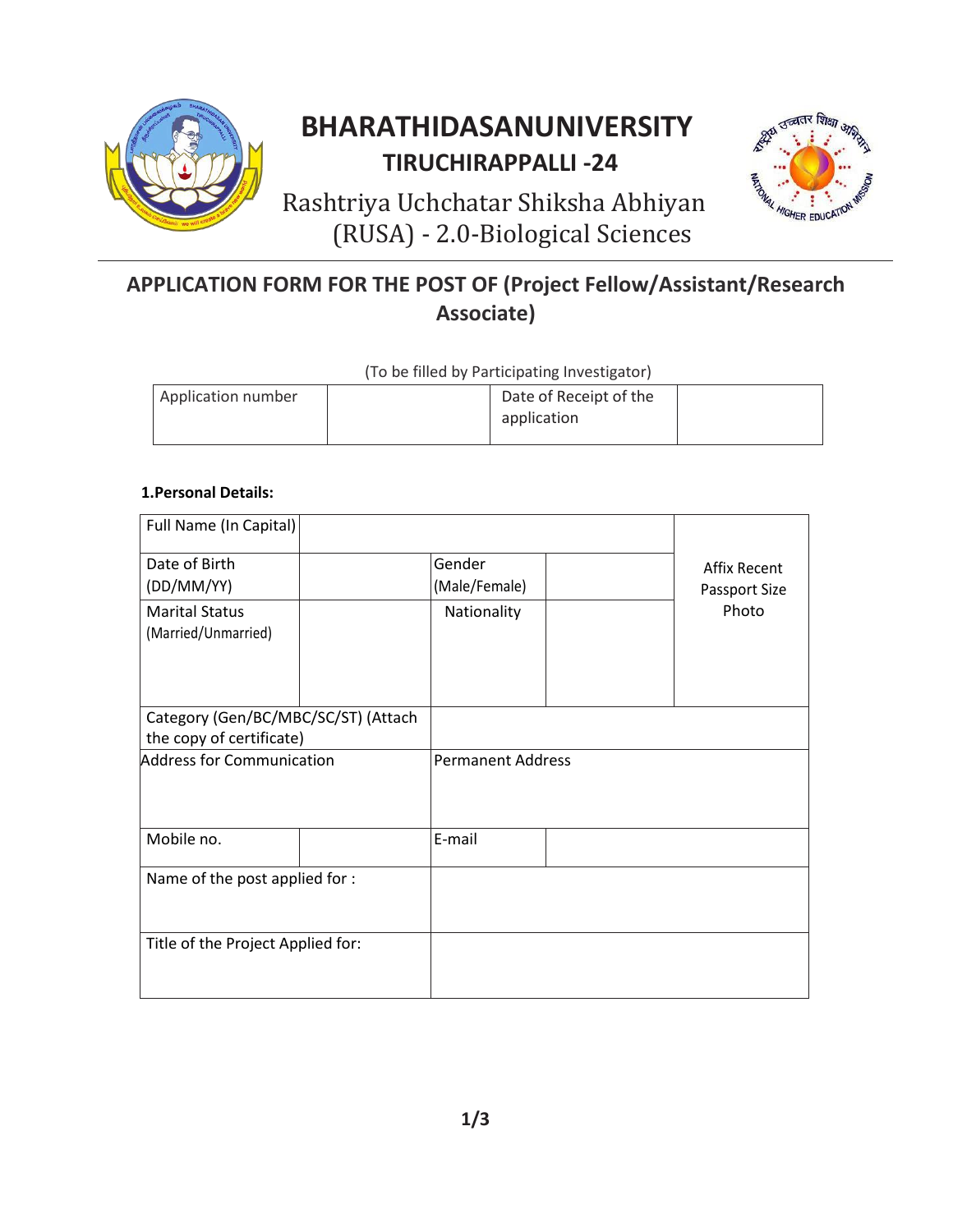

# **BHARATHIDASANUNIVERSITY TIRUCHIRAPPALLI -24**



Rashtriya Uchchatar Shiksha Abhiyan (RUSA) - 2.0-Biological Sciences

# **APPLICATION FORM FOR THE POST OF (Project Fellow/Assistant/Research Associate)**

(To be filled by Participating Investigator)

| Application number | Date of Receipt of the |  |
|--------------------|------------------------|--|
|                    | application            |  |
|                    |                        |  |

#### **1.Personal Details:**

| Full Name (In Capital)                                          |                          |                                      |
|-----------------------------------------------------------------|--------------------------|--------------------------------------|
| Date of Birth<br>(DD/MM/YY)                                     | Gender<br>(Male/Female)  | <b>Affix Recent</b><br>Passport Size |
| <b>Marital Status</b><br>(Married/Unmarried)                    | Nationality              | Photo                                |
| Category (Gen/BC/MBC/SC/ST) (Attach<br>the copy of certificate) |                          |                                      |
| <b>Address for Communication</b>                                | <b>Permanent Address</b> |                                      |
| Mobile no.                                                      | E-mail                   |                                      |
| Name of the post applied for :                                  |                          |                                      |
| Title of the Project Applied for:                               |                          |                                      |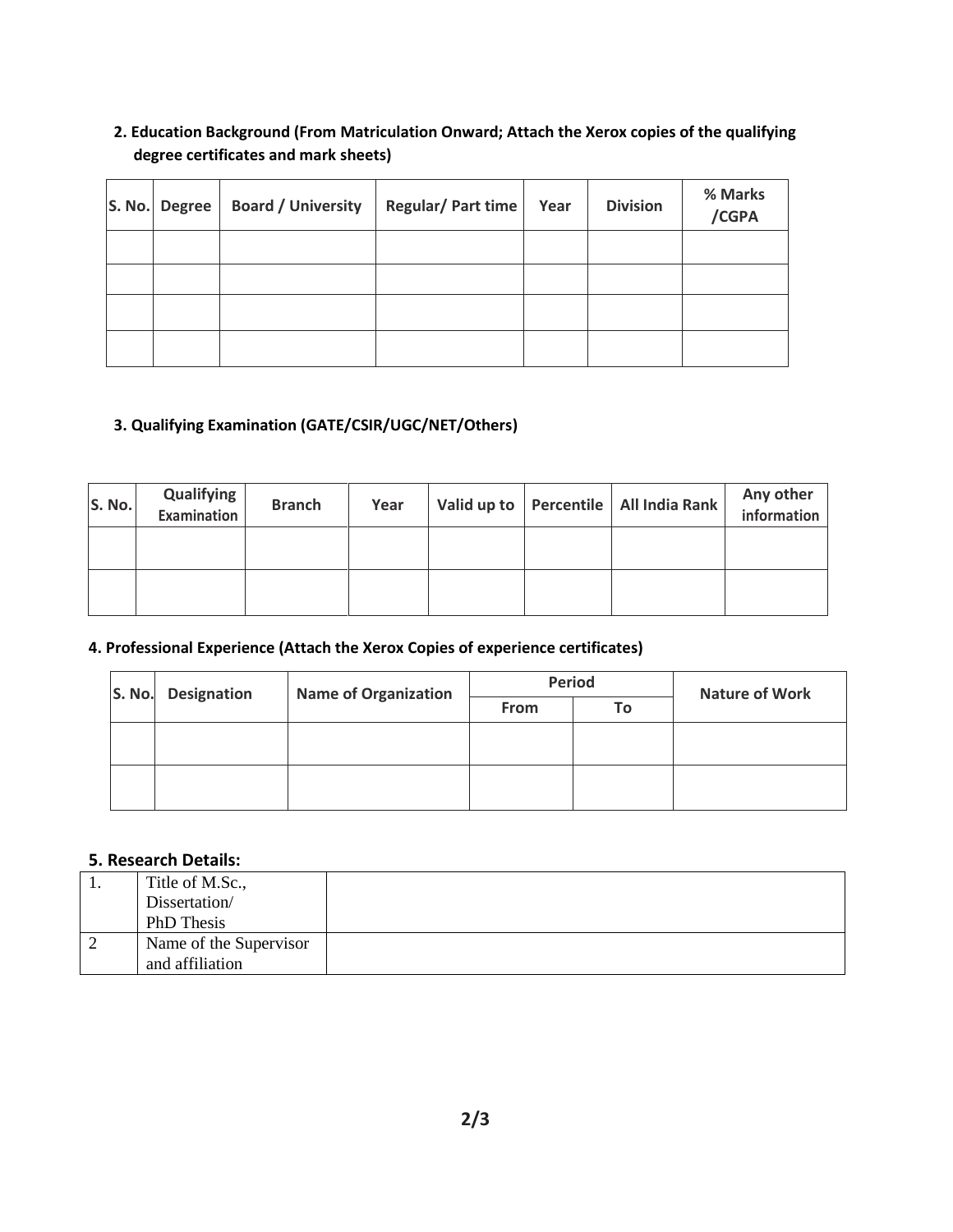# **2. Education Background (From Matriculation Onward; Attach the Xerox copies of the qualifying degree certificates and mark sheets)**

| S. No. Degree | <b>Board / University</b> | <b>Regular/Part time</b> | Year | <b>Division</b> | % Marks<br>/CGPA |
|---------------|---------------------------|--------------------------|------|-----------------|------------------|
|               |                           |                          |      |                 |                  |
|               |                           |                          |      |                 |                  |
|               |                           |                          |      |                 |                  |
|               |                           |                          |      |                 |                  |

# **3. Qualifying Examination (GATE/CSIR/UGC/NET/Others)**

| S. No. | Qualifying  <br>Examination | <b>Branch</b> | Year | Valid up to | Percentile   All India Rank | Any other<br>information |
|--------|-----------------------------|---------------|------|-------------|-----------------------------|--------------------------|
|        |                             |               |      |             |                             |                          |
|        |                             |               |      |             |                             |                          |

# **4. Professional Experience (Attach the Xerox Copies of experience certificates)**

| S. No. | <b>Designation</b> | <b>Name of Organization</b> | <b>Period</b> |    | <b>Nature of Work</b> |
|--------|--------------------|-----------------------------|---------------|----|-----------------------|
|        |                    |                             | <b>From</b>   | To |                       |
|        |                    |                             |               |    |                       |
|        |                    |                             |               |    |                       |
|        |                    |                             |               |    |                       |
|        |                    |                             |               |    |                       |

#### **5. Research Details:**

| Title of M.Sc.,        |  |  |
|------------------------|--|--|
| Dissertation/          |  |  |
| <b>PhD</b> Thesis      |  |  |
| Name of the Supervisor |  |  |
| and affiliation        |  |  |